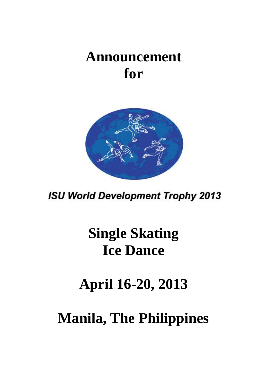## **Announcement for**



**ISU World Development Trophy 2013** 

# **Single Skating Ice Dance**

**April 16-20, 2013**

**Manila, The Philippines**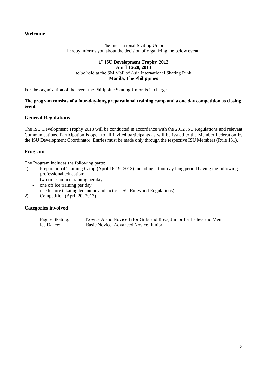## **Welcome**

The International Skating Union hereby informs you about the decision of organizing the below event:

#### **1 st ISU Development Trophy 2013 April 16-20, 2013** to be held at the SM Mall of Asia International Skating Rink **Manila, The Philippines**

For the organization of the event the Philippine Skating Union is in charge.

#### **The program consists of a four-day-long preparational training camp and a one day competition as closing event.**

#### **General Regulations**

The ISU Development Trophy 2013 will be conducted in accordance with the 2012 ISU Regulations and relevant Communications. Participation is open to all invited participants as will be issued to the Member Federation by the ISU Development Coordinator. Entries must be made only through the respective ISU Members (Rule 131).

#### **Program**

The Program includes the following parts:

- 1) Preparational Training Camp (April 16-19, 2013) including a four day long period having the following professional education:
	- two times on ice training per day
	- one off ice training per day
	- one lecture (skating technique and tactics, ISU Rules and Regulations)
- 2) Competition (April 20, 2013)

#### **Categories involved**

Figure Skating: Novice A and Novice B for Girls and Boys, Junior for Ladies and Men Ice Dance: Basic Novice, Advanced Novice, Junior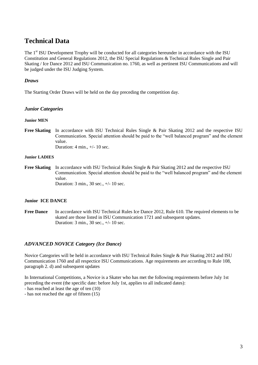## **Technical Data**

The 1<sup>st</sup> ISU Development Trophy will be conducted for all categories hereunder in accordance with the ISU Constitution and General Regulations 2012, the ISU Special Regulations & Technical Rules Single and Pair Skating / Ice Dance 2012 and ISU Communication no. 1760, as well as pertinent ISU Communications and will be judged under the ISU Judging System.

## *Draws*

The Starting Order Draws will be held on the day preceding the competition day.

#### *Junior Categories*

#### **Junior MEN**

**Free Skating** In accordance with ISU Technical Rules Single & Pair Skating 2012 and the respective ISU Communication. Special attention should be paid to the "well balanced program" and the element value. Duration: 4 min., +/- 10 sec.

#### **Junior LADIES**

**Free Skating** In accordance with ISU Technical Rules Single & Pair Skating 2012 and the respective ISU Communication. Special attention should be paid to the "well balanced program" and the element value.

Duration: 3 min., 30 sec., +/- 10 sec.

#### **Junior ICE DANCE**

**Free Dance** In accordance with ISU Technical Rules Ice Dance 2012, Rule 610. The required elements to be skated are those listed in ISU Communication 1721 and subsequent updates. Duration: 3 min., 30 sec., +/- 10 sec.

## *ADVANCED NOVICE Category (Ice Dance)*

Novice Categories will be held in accordance with ISU Technical Rules Single & Pair Skating 2012 and ISU Communication 1760 and all respectice ISU Communications. Age requirements are according to Rule 108, paragraph 2. d) and subsequent updates

In International Competitions, a Novice is a Skater who has met the following requirements before July 1st preceding the event (the specific date: before July 1st, applies to all indicated dates):

- has reached at least the age of ten (10)

- has not reached the age of fifteen (15)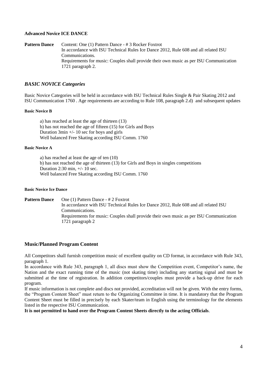#### **Advanced Novice ICE DANCE**

**Pattern Dance** Content: One (1) Pattern Dance - #3 Rocker Foxtrot In accordance with ISU Technical Rules Ice Dance 2012, Rule 608 and all related ISU Communications. Requirements for music: Couples shall provide their own music as per ISU Communication 1721 paragraph 2*.*

## *BASIC NOVICE Categories*

Basic Novice Categories will be held in accordance with ISU Technical Rules Single & Pair Skating 2012 and ISU Communication 1760 . Age requirements are according to Rule 108, paragraph 2.d) and subsequent updates

#### **Basic Novice B**

a) has reached at least the age of thirteen (13) b) has not reached the age of fifteen (15) for Girls and Boys Duration 3min +/- 10 sec for boys and girls Well balanced Free Skating according ISU Comm. 1760

#### **Basic Novice A**

a) has reached at least the age of ten (10) b) has not reached the age of thirteen (13) for Girls and Boys in singles competitions Duration 2:30 min, +/- 10 sec. Well balanced Free Skating according ISU Comm. 1760

#### **Basic Novice Ice Dance**

**Pattern Dance** One (1) Pattern Dance - # 2 Foxtrot In accordance with ISU Technical Rules Ice Dance 2012, Rule 608 and all related ISU Communications. Requirements for music: Couples shall provide their own music as per ISU Communication 1721 paragraph 2

#### **Music/Planned Program Content**

All Competitors shall furnish competition music of excellent quality on CD format, in accordance with Rule 343, paragraph 1.

In accordance with Rule 343, paragraph 1, all discs must show the Competition event, Competitor's name, the Nation and the exact running time of the music (not skating time) including any starting signal and must be submitted at the time of registration. In addition competitors/couples must provide a back-up drive for each program.

If music information is not complete and discs not provided, accreditation will not be given. With the entry forms, the "Program Content Sheet" must return to the Organizing Committee in time. It is mandatory that the Program Content Sheet must be filled in precisely by each Skater/team in English using the terminology for the elements listed in the respective ISU Communication.

**It is not permitted to hand over the Program Content Sheets directly to the acting Officials**.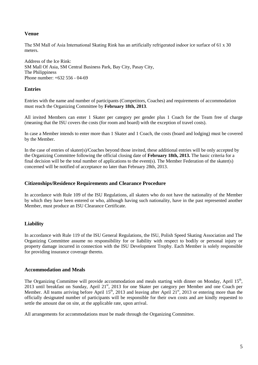## **Venue**

The SM Mall of Asia International Skating Rink has an artificially refrigerated indoor ice surface of 61 x 30 meters.

Address of the Ice Rink: SM Mall Of Asia, SM Central Business Park, Bay City, Pasay City, The Philippiness Phone number: +632 556 - 04-69

## **Entries**

Entries with the name and number of participants (Competitors, Coaches) and requirements of accommodation must reach the Organizing Committee by **February 18th, 2013**.

All invited Members can enter 1 Skater per category per gender plus 1 Coach for the Team free of charge (meaning that the ISU covers the costs (for room and board) with the exception of travel costs).

In case a Member intends to enter more than 1 Skater and 1 Coach, the costs (board and lodging) must be covered by the Member.

In the case of entries of skater(s)/Coaches beyond those invited, these additional entries will be only accepted by the Organizing Committee following the official closing date of **February 18th, 2013.** The basic criteria for a final decision will be the total number of applications to the event(s). The Member Federation of the skater(s) concerned will be notified of acceptance no later than February 28th, 2013.

#### **Citizenships/Residence Requirements and Clearance Procedure**

In accordance with Rule 109 of the ISU Regulations, all skaters who do not have the nationality of the Member by which they have been entered or who, although having such nationality, have in the past represented another Member, must produce an ISU Clearance Certificate.

## **Liability**

In accordance with Rule 119 of the ISU General Regulations, the ISU, Polish Speed Skating Association and The Organizing Committee assume no responsibility for or liability with respect to bodily or personal injury or property damage incurred in connection with the ISU Development Trophy. Each Member is solely responsible for providing insurance coverage thereto.

#### **Accommodation and Meals**

The Organizing Committee will provide accommodation and meals starting with dinner on Monday, April 15<sup>th</sup>, 2013 until breakfast on Sunday, April 21<sup>st</sup>, 2013 for one Skater per category per Member and one Coach per Member. All teams arriving before April 15<sup>th</sup>, 2013 and leaving after April 21<sup>st</sup>, 2013 or entering more than the officially designated number of participants will be responsible for their own costs and are kindly requested to settle the amount due on site, at the applicable rate, upon arrival.

All arrangements for accommodations must be made through the Organizing Committee.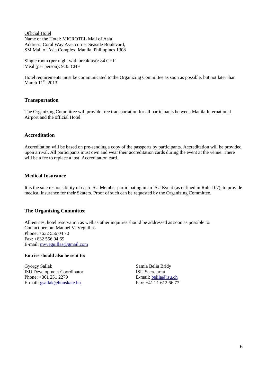Official Hotel Name of the Hotel: MICROTEL Mall of Asia Address: Coral Way Ave. corner Seaside Boulevard, SM Mall of Asia Complex Manila, Philippines 1308

Single room (per night with breakfast): 84 CHF Meal (per person): 9.35 CHF

Hotel requirements must be communicated to the Organizing Committee as soon as possible, but not later than March  $11^{th}$ , 2013.

## **Transportation**

The Organizing Committee will provide free transportation for all participants between Manila International Airport and the official Hotel.

#### **Accreditation**

Accreditation will be based on pre-sending a copy of the passports by participants. Accreditation will be provided upon arrival. All participants must own and wear their accreditation cards during the event at the venue. There will be a fee to replace a lost Accreditation card.

## **Medical Insurance**

It is the sole responsibility of each ISU Member participating in an ISU Event (as defined in Rule 107), to provide medical insurance for their Skaters. Proof of such can be requested by the Organizing Committee.

## **The Organizing Committee**

All entries, hotel reservation as well as other inquiries should be addressed as soon as possible to: Contact person: Manuel V. Veguillas Phone: +632 556 04 70 Fax: +632 556 04 69 E-mail: [mvveguillas@gmail.com](mailto:mvveguillas@gmail.com)

#### **Entries should also be sent to:**

György Sallak ISU Development Coordinator Phone: +361 251 2279 E-mail: [gsallak@hunskate.hu](mailto:gsallak@hunskate.hu)

Samia Belia Bridy ISU Secretariat E-mail: [belila@isu.ch](mailto:belila@isu.ch) Fax: +41 21 612 66 77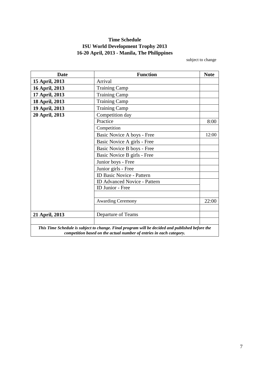## **Time Schedule ISU World Development Trophy 2013 16-20 April, 2013 - Manila, The Philippines**

subject to change

| <b>Date</b>    | <b>Function</b><br><b>Note</b>                                                                                                                                         |       |  |  |  |
|----------------|------------------------------------------------------------------------------------------------------------------------------------------------------------------------|-------|--|--|--|
| 15 April, 2013 | Arrival                                                                                                                                                                |       |  |  |  |
| 16 April, 2013 | <b>Training Camp</b>                                                                                                                                                   |       |  |  |  |
| 17 April, 2013 | <b>Training Camp</b>                                                                                                                                                   |       |  |  |  |
| 18 April, 2013 | <b>Training Camp</b>                                                                                                                                                   |       |  |  |  |
| 19 April, 2013 | <b>Training Camp</b>                                                                                                                                                   |       |  |  |  |
| 20 April, 2013 | Competition day                                                                                                                                                        |       |  |  |  |
|                | Practice                                                                                                                                                               | 8:00  |  |  |  |
|                | Competition                                                                                                                                                            |       |  |  |  |
|                | Basic Novice A boys - Free                                                                                                                                             | 12:00 |  |  |  |
|                | Basic Novice A girls - Free                                                                                                                                            |       |  |  |  |
|                | Basic Novice B boys - Free                                                                                                                                             |       |  |  |  |
|                | Basic Novice B girls - Free                                                                                                                                            |       |  |  |  |
|                | Junior boys - Free                                                                                                                                                     |       |  |  |  |
|                | Junior girls - Free                                                                                                                                                    |       |  |  |  |
|                | <b>ID Basic Novice - Pattern</b>                                                                                                                                       |       |  |  |  |
|                | <b>ID Advanced Novice - Pattern</b>                                                                                                                                    |       |  |  |  |
|                | ID Junior - Free                                                                                                                                                       |       |  |  |  |
|                |                                                                                                                                                                        |       |  |  |  |
|                | <b>Awarding Ceremony</b>                                                                                                                                               | 22:00 |  |  |  |
|                |                                                                                                                                                                        |       |  |  |  |
| 21 April, 2013 | Departure of Teams                                                                                                                                                     |       |  |  |  |
|                |                                                                                                                                                                        |       |  |  |  |
|                | This Time Schedule is subject to change. Final program will be decided and published before the<br>competition based on the actual number of entries in each category. |       |  |  |  |